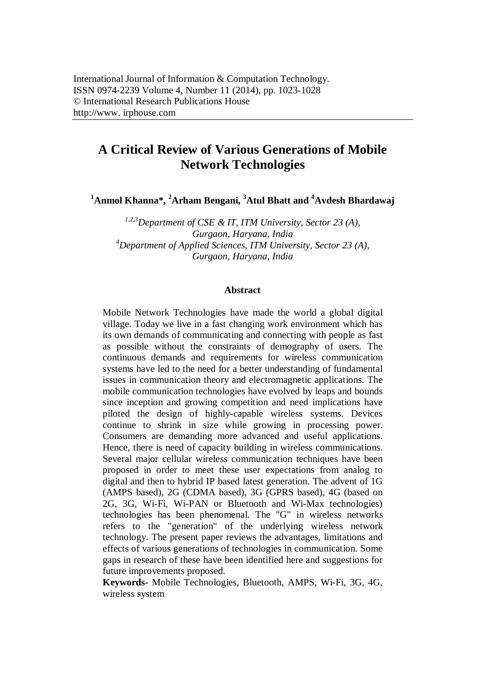# **A Critical Review of Various Generations of Mobile Network Technologies**

**<sup>1</sup>Anmol Khanna\*, <sup>2</sup>Arham Bengani, <sup>3</sup>Atul Bhatt and <sup>4</sup>Avdesh Bhardawaj**

*1,2,3Department of CSE & IT, ITM University, Sector 23 (A), Gurgaon, Haryana, India <sup>4</sup>Department of Applied Sciences, ITM University, Sector 23 (A), Gurgaon, Haryana, India*

#### **Abstract**

Mobile Network Technologies have made the world a global digital village. Today we live in a fast changing work environment which has its own demands of communicating and connecting with people as fast as possible without the constraints of demography of users. The continuous demands and requirements for wireless communication systems have led to the need for a better understanding of fundamental issues in communication theory and electromagnetic applications. The mobile communication technologies have evolved by leaps and bounds since inception and growing competition and need implications have piloted the design of highly-capable wireless systems. Devices continue to shrink in size while growing in processing power. Consumers are demanding more advanced and useful applications. Hence, there is need of capacity building in wireless communications. Several major cellular wireless communication techniques have been proposed in order to meet these user expectations from analog to digital and then to hybrid IP based latest generation. The advent of 1G (AMPS based), 2G (CDMA based), 3G (GPRS based), 4G (based on 2G, 3G, Wi-Fi, Wi-PAN or Bluetooth and Wi-Max technologies) technologies has been phenomenal. The "G" in wireless networks refers to the "generation" of the underlying wireless network technology. The present paper reviews the advantages, limitations and effects of various generations of technologies in communication. Some gaps in research of these have been identified here and suggestions for future improvements proposed.

**Keywords-** Mobile Technologies, Bluetooth, AMPS, Wi-Fi, 3G, 4G, wireless system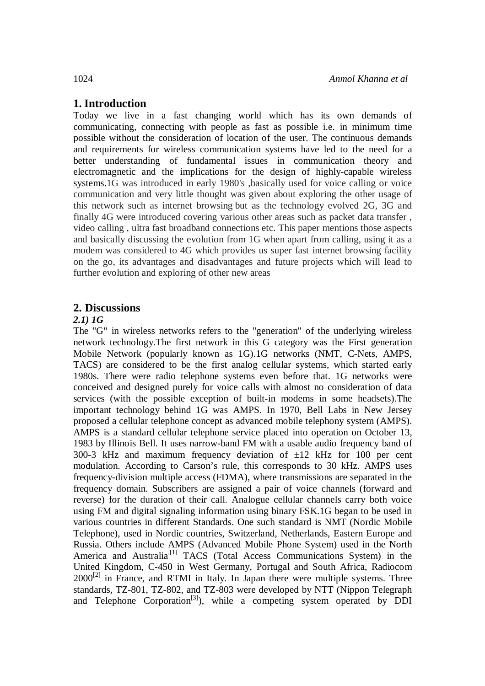## **1. Introduction**

Today we live in a fast changing world which has its own demands of communicating, connecting with people as fast as possible i.e. in minimum time possible without the consideration of location of the user. The continuous demands and requirements for wireless communication systems have led to the need for a better understanding of fundamental issues in communication theory and electromagnetic and the implications for the design of highly-capable wireless systems.1G was introduced in early 1980's ,basically used for voice calling or voice communication and very little thought was given about exploring the other usage of this network such as internet browsing but as the technology evolved 2G, 3G and finally 4G were introduced covering various other areas such as packet data transfer , video calling , ultra fast broadband connections etc. This paper mentions those aspects and basically discussing the evolution from 1G when apart from calling, using it as a modem was considered to 4G which provides us super fast internet browsing facility on the go, its advantages and disadvantages and future projects which will lead to further evolution and exploring of other new areas

## **2. Discussions**

## *2.1) 1G*

The "G" in wireless networks refers to the "generation" of the underlying wireless network technology.The first network in this G category was the First generation Mobile Network (popularly known as 1G).1G networks (NMT, C-Nets, AMPS, TACS) are considered to be the first analog cellular systems, which started early 1980s. There were radio telephone systems even before that. 1G networks were conceived and designed purely for voice calls with almost no consideration of data services (with the possible exception of built-in modems in some headsets).The important technology behind 1G was AMPS. In 1970, Bell Labs in New Jersey proposed a cellular telephone concept as advanced mobile telephony system (AMPS). AMPS is a standard cellular telephone service placed into operation on October 13, 1983 by Illinois Bell. It uses narrow-band FM with a usable audio frequency band of 300-3 kHz and maximum frequency deviation of  $\pm 12$  kHz for 100 per cent modulation. According to Carson's rule, this corresponds to 30 kHz. AMPS uses frequency-division multiple access (FDMA), where transmissions are separated in the frequency domain. Subscribers are assigned a pair of voice channels (forward and reverse) for the duration of their call. Analogue cellular channels carry both voice using FM and digital signaling information using binary FSK.1G began to be used in various countries in different Standards. One such standard is NMT (Nordic Mobile Telephone), used in Nordic countries, Switzerland, Netherlands, Eastern Europe and Russia. Others include AMPS (Advanced Mobile Phone System) used in the North America and Australia<sup>,[1]</sup> TACS (Total Access Communications System) in the United Kingdom, C-450 in West Germany, Portugal and South Africa, Radiocom  $2000^{[2]}$  in France, and RTMI in Italy. In Japan there were multiple systems. Three standards, TZ-801, TZ-802, and TZ-803 were developed by NTT (Nippon Telegraph and Telephone Corporation<sup>[3]</sup>), while a competing system operated by DDI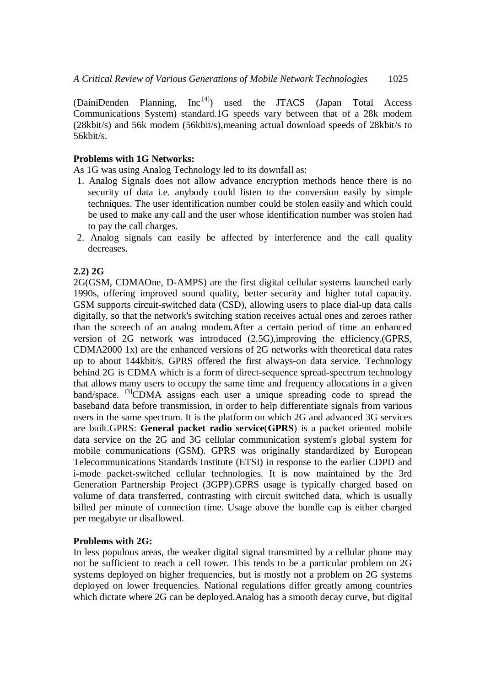$(DainiDenden Planning, Inc<sup>[4]</sup>) used the JTACS (Japan Total Access)$ Communications System) standard.1G speeds vary between that of a 28k modem (28kbit/s) and 56k modem (56kbit/s),meaning actual download speeds of 28kbit/s to 56kbit/s.

#### **Problems with 1G Networks:**

As 1G was using Analog Technology led to its downfall as:

- 1. Analog Signals does not allow advance encryption methods hence there is no security of data i.e. anybody could listen to the conversion easily by simple techniques. The user identification number could be stolen easily and which could be used to make any call and the user whose identification number was stolen had to pay the call charges.
- 2. Analog signals can easily be affected by interference and the call quality decreases.

### **2.2) 2G**

2G(GSM, CDMAOne, D-AMPS) are the first digital cellular systems launched early 1990s, offering improved sound quality, better security and higher total capacity. GSM supports circuit-switched data (CSD), allowing users to place dial-up data calls digitally, so that the network's switching station receives actual ones and zeroes rather than the screech of an analog modem.After a certain period of time an enhanced version of 2G network was introduced (2.5G),improving the efficiency.(GPRS, CDMA2000 1x) are the enhanced versions of 2G networks with theoretical data rates up to about 144kbit/s. GPRS offered the first always-on data service. Technology behind 2G is CDMA which is a form of direct-sequence spread-spectrum technology that allows many users to occupy the same time and frequency allocations in a given  $band/space.$  [3] CDMA assigns each user a unique spreading code to spread the baseband data before transmission, in order to help differentiate signals from various users in the same spectrum. It is the platform on which 2G and advanced 3G services are built.GPRS: **General packet radio service**(**GPRS**) is a packet oriented mobile data service on the 2G and 3G cellular communication system's global system for mobile communications (GSM). GPRS was originally standardized by European Telecommunications Standards Institute (ETSI) in response to the earlier CDPD and i-mode packet-switched cellular technologies. It is now maintained by the 3rd Generation Partnership Project (3GPP).GPRS usage is typically charged based on volume of data transferred, contrasting with circuit switched data, which is usually billed per minute of connection time. Usage above the bundle cap is either charged per megabyte or disallowed.

#### **Problems with 2G:**

In less populous areas, the weaker digital signal transmitted by a cellular phone may not be sufficient to reach a cell tower. This tends to be a particular problem on 2G systems deployed on higher frequencies, but is mostly not a problem on 2G systems deployed on lower frequencies. National regulations differ greatly among countries which dictate where 2G can be deployed.Analog has a smooth decay curve, but digital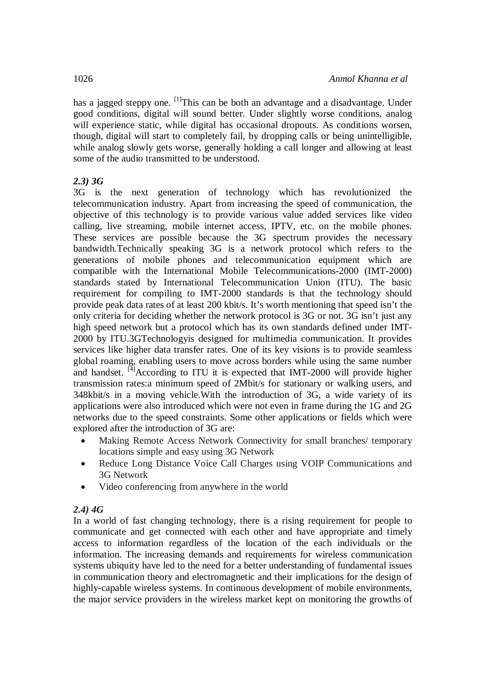has a jagged steppy one.  $\left[1\right]$ This can be both an advantage and a disadvantage. Under good conditions, digital will sound better. Under slightly worse conditions, analog will experience static, while digital has occasional dropouts. As conditions worsen, though, digital will start to completely fail, by dropping calls or being unintelligible, while analog slowly gets worse, generally holding a call longer and allowing at least some of the audio transmitted to be understood.

## *2.3) 3G*

3G is the next generation of technology which has revolutionized the telecommunication industry. Apart from increasing the speed of communication, the objective of this technology is to provide various value added services like video calling, live streaming, mobile internet access, IPTV, etc. on the mobile phones. These services are possible because the 3G spectrum provides the necessary bandwidth.Technically speaking 3G is a network protocol which refers to the generations of mobile phones and telecommunication equipment which are compatible with the International Mobile Telecommunications-2000 (IMT-2000) standards stated by International Telecommunication Union (ITU). The basic requirement for compiling to IMT-2000 standards is that the technology should provide peak data rates of at least 200 kbit/s. It's worth mentioning that speed isn't the only criteria for deciding whether the network protocol is 3G or not. 3G isn't just any high speed network but a protocol which has its own standards defined under IMT-2000 by ITU.3GTechnologyis designed for multimedia communication. It provides services like higher data transfer rates. One of its key visions is to provide seamless global roaming, enabling users to move across borders while using the same number and handset.  $\overline{[4]}$ According to ITU it is expected that IMT-2000 will provide higher transmission rates:a minimum speed of 2Mbit/s for stationary or walking users, and 348kbit/s in a moving vehicle.With the introduction of 3G, a wide variety of its applications were also introduced which were not even in frame during the 1G and 2G networks due to the speed constraints. Some other applications or fields which were explored after the introduction of 3G are:

- Making Remote Access Network Connectivity for small branches/ temporary locations simple and easy using 3G Network
- Reduce Long Distance Voice Call Charges using VOIP Communications and 3G Network
- Video conferencing from anywhere in the world

## *2.4) 4G*

In a world of fast changing technology, there is a rising requirement for people to communicate and get connected with each other and have appropriate and timely access to information regardless of the location of the each individuals or the information. The increasing demands and requirements for wireless communication systems ubiquity have led to the need for a better understanding of fundamental issues in communication theory and electromagnetic and their implications for the design of highly-capable wireless systems. In continuous development of mobile environments, the major service providers in the wireless market kept on monitoring the growths of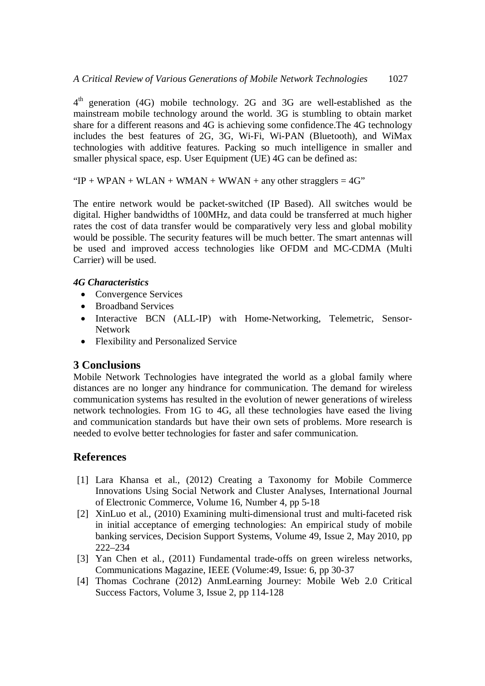4<sup>th</sup> generation (4G) mobile technology. 2G and 3G are well-established as the mainstream mobile technology around the world. 3G is stumbling to obtain market share for a different reasons and 4G is achieving some confidence.The 4G technology includes the best features of 2G, 3G, Wi-Fi, Wi-PAN (Bluetooth), and WiMax technologies with additive features. Packing so much intelligence in smaller and smaller physical space, esp. User Equipment (UE) 4G can be defined as:

" $IP + WPAN + WLAN + WMAN + WWAN + any other stragglers = 4G"$ 

The entire network would be packet-switched (IP Based). All switches would be digital. Higher bandwidths of 100MHz, and data could be transferred at much higher rates the cost of data transfer would be comparatively very less and global mobility would be possible. The security features will be much better. The smart antennas will be used and improved access technologies like OFDM and MC-CDMA (Multi Carrier) will be used.

## *4G Characteristics*

- Convergence Services
- Broadband Services
- Interactive BCN (ALL-IP) with Home-Networking, Telemetric, Sensor-Network
- Flexibility and Personalized Service

## **3 Conclusions**

Mobile Network Technologies have integrated the world as a global family where distances are no longer any hindrance for communication. The demand for wireless communication systems has resulted in the evolution of newer generations of wireless network technologies. From 1G to 4G, all these technologies have eased the living and communication standards but have their own sets of problems. More research is needed to evolve better technologies for faster and safer communication.

# **References**

- [1] Lara Khansa et al., (2012) Creating a Taxonomy for Mobile Commerce Innovations Using Social Network and Cluster Analyses, International Journal of Electronic Commerce, Volume 16, Number 4, pp 5-18
- [2] XinLuo et al., (2010) Examining multi-dimensional trust and multi-faceted risk in initial acceptance of emerging technologies: An empirical study of mobile banking services, Decision Support Systems, Volume 49, Issue 2, May 2010, pp 222–234
- [3] Yan Chen et al., (2011) Fundamental trade-offs on green wireless networks, Communications Magazine, IEEE (Volume:49, Issue: 6, pp 30-37
- [4] Thomas Cochrane (2012) AnmLearning Journey: Mobile Web 2.0 Critical Success Factors, Volume 3, Issue 2, pp 114-128